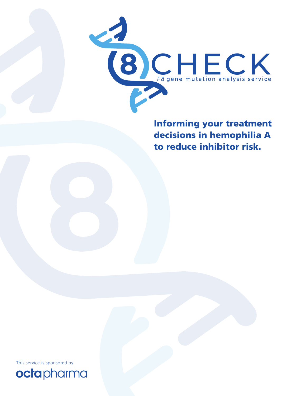

decisions in hemophilia A to reduce inhibitor risk.

This service is sponsored by

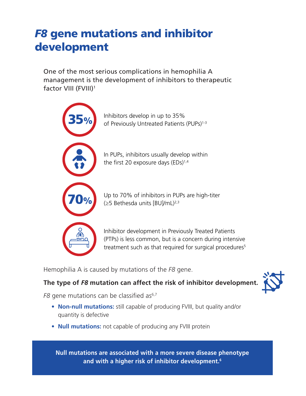# *F8* gene mutations and inhibitor development

One of the most serious complications in hemophilia A management is the development of inhibitors to therapeutic factor VIII (FVIII)1



Hemophilia A is caused by mutations of the *F8* gene.

## **The type of** *F8* **mutation can affect the risk of inhibitor development.**

*F8* gene mutations can be classified as<sup>6,7</sup>

- **• Non-null mutations:** still capable of producing FVIII, but quality and/or quantity is defective
- **• Null mutations:** not capable of producing any FVIII protein

**Null mutations are associated with a more severe disease phenotype and with a higher risk of inhibitor development.6**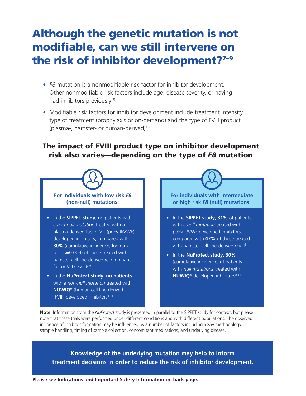# Although the genetic mutation is not modifiable, can we still intervene on the risk of inhibitor development?<sup>7-9</sup>

- **•** *F8* mutation is a nonmodifiable risk factor for inhibitor development. Other nonmodifiable risk factors include age, disease severity, or having had inhibitors previously<sup>10</sup>
- Modifiable risk factors for inhibitor development include treatment intensity, type of treatment (prophylaxis or on-demand) and the type of FVIII product (plasma-, hamster- or human-derived)10

## The impact of FVIII product type on inhibitor development risk also varies—depending on the type of *F8* mutation



**Note:** Information from the *NuProtect* study is presented in parallel to the SIPPET study for context, but please note that these trials were performed under different conditions and with different populations. The observed incidence of inhibitor formation may be influenced by a number of factors including assay methodology, sample handling, timing of sample collection, concomitant medications, and underlying disease.

**Knowledge of the underlying mutation may help to inform treatment decisions in order to reduce the risk of inhibitor development.**

**Please see Indications and Important Safety Information on back page.**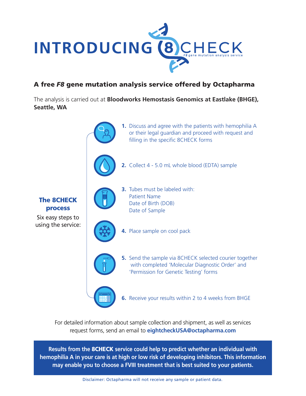

## A free *F8* gene mutation analysis service offered by Octapharma

The analysis is carried out at **Bloodworks Hemostasis Genomics at Eastlake (BHGE), Seattle, WA**



For detailed information about sample collection and shipment, as well as services request forms, send an email to **eightcheckUSA@octapharma.com**

**Results from the** 8CHECK **service could help to predict whether an individual with hemophilia A in your care is at high or low risk of developing inhibitors. This information may enable you to choose a FVIII treatment that is best suited to your patients.**

Disclaimer: Octapharma will not receive any sample or patient data.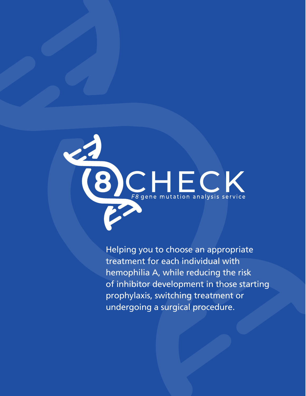

Helping you to choose an appropriate treatment for each individual with hemophilia A, while reducing the risk of inhibitor development in those starting prophylaxis, switching treatment or undergoing a surgical procedure.